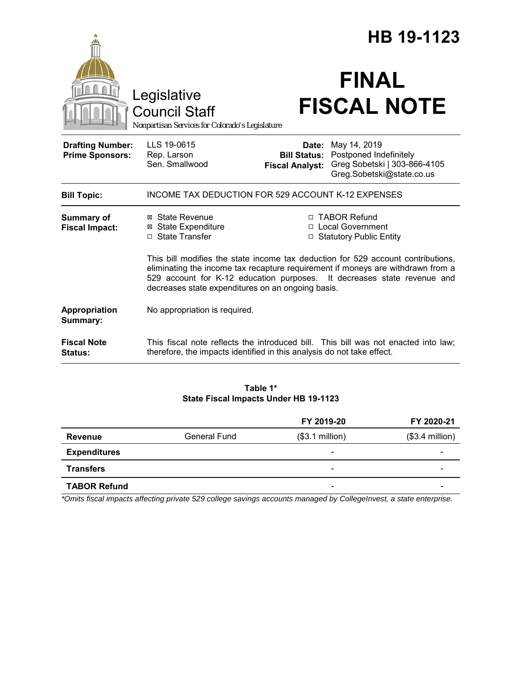|                                                   |                                                                                                                                                                                                                                                                                                     | HB 19-1123                                             |                                                                                                     |  |
|---------------------------------------------------|-----------------------------------------------------------------------------------------------------------------------------------------------------------------------------------------------------------------------------------------------------------------------------------------------------|--------------------------------------------------------|-----------------------------------------------------------------------------------------------------|--|
|                                                   | Legislative<br><b>Council Staff</b><br>Nonpartisan Services for Colorado's Legislature                                                                                                                                                                                                              |                                                        | <b>FINAL</b><br><b>FISCAL NOTE</b>                                                                  |  |
| <b>Drafting Number:</b><br><b>Prime Sponsors:</b> | LLS 19-0615<br>Rep. Larson<br>Sen. Smallwood                                                                                                                                                                                                                                                        | Date:<br><b>Bill Status:</b><br><b>Fiscal Analyst:</b> | May 14, 2019<br>Postponed Indefinitely<br>Greg Sobetski   303-866-4105<br>Greg.Sobetski@state.co.us |  |
| <b>Bill Topic:</b>                                | <b>INCOME TAX DEDUCTION FOR 529 ACCOUNT K-12 EXPENSES</b>                                                                                                                                                                                                                                           |                                                        |                                                                                                     |  |
| Summary of<br><b>Fiscal Impact:</b>               | ⊠ State Revenue<br><b>⊠ State Expenditure</b><br>□ State Transfer                                                                                                                                                                                                                                   |                                                        | □ TABOR Refund<br>□ Local Government<br>□ Statutory Public Entity                                   |  |
|                                                   | This bill modifies the state income tax deduction for 529 account contributions,<br>eliminating the income tax recapture requirement if moneys are withdrawn from a<br>529 account for K-12 education purposes. It decreases state revenue and<br>decreases state expenditures on an ongoing basis. |                                                        |                                                                                                     |  |
| Appropriation<br>Summary:                         | No appropriation is required.                                                                                                                                                                                                                                                                       |                                                        |                                                                                                     |  |
| <b>Fiscal Note</b><br>Status:                     | therefore, the impacts identified in this analysis do not take effect.                                                                                                                                                                                                                              |                                                        | This fiscal note reflects the introduced bill. This bill was not enacted into law;                  |  |

## **Table 1\* State Fiscal Impacts Under HB 19-1123**

|                     |                     | FY 2019-20               | FY 2020-21       |
|---------------------|---------------------|--------------------------|------------------|
| Revenue             | <b>General Fund</b> | $($3.1$ million)         | $($3.4$ million) |
| <b>Expenditures</b> |                     | $\overline{\phantom{0}}$ |                  |
| <b>Transfers</b>    |                     | $\overline{\phantom{a}}$ |                  |
| <b>TABOR Refund</b> |                     | -                        |                  |

*\*Omits fiscal impacts affecting private 529 college savings accounts managed by CollegeInvest, a state enterprise.*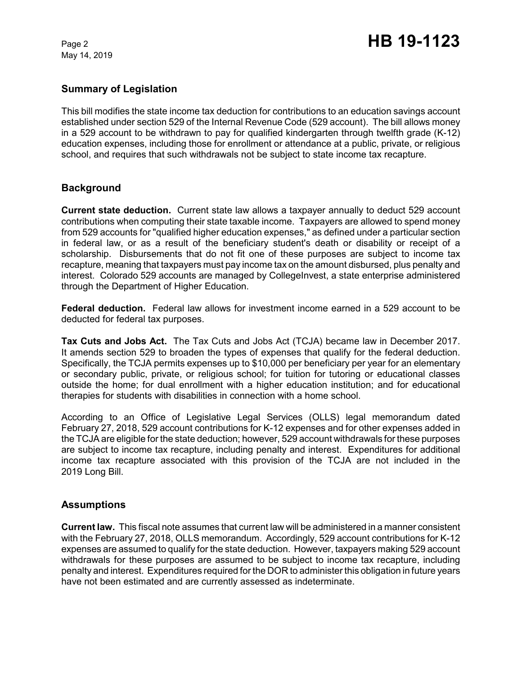May 14, 2019

## **Summary of Legislation**

This bill modifies the state income tax deduction for contributions to an education savings account established under section 529 of the Internal Revenue Code (529 account). The bill allows money in a 529 account to be withdrawn to pay for qualified kindergarten through twelfth grade (K-12) education expenses, including those for enrollment or attendance at a public, private, or religious school, and requires that such withdrawals not be subject to state income tax recapture.

#### **Background**

**Current state deduction.** Current state law allows a taxpayer annually to deduct 529 account contributions when computing their state taxable income. Taxpayers are allowed to spend money from 529 accounts for "qualified higher education expenses," as defined under a particular section in federal law, or as a result of the beneficiary student's death or disability or receipt of a scholarship. Disbursements that do not fit one of these purposes are subject to income tax recapture, meaning that taxpayers must pay income tax on the amount disbursed, plus penalty and interest. Colorado 529 accounts are managed by CollegeInvest, a state enterprise administered through the Department of Higher Education.

**Federal deduction.** Federal law allows for investment income earned in a 529 account to be deducted for federal tax purposes.

**Tax Cuts and Jobs Act.** The Tax Cuts and Jobs Act (TCJA) became law in December 2017. It amends section 529 to broaden the types of expenses that qualify for the federal deduction. Specifically, the TCJA permits expenses up to \$10,000 per beneficiary per year for an elementary or secondary public, private, or religious school; for tuition for tutoring or educational classes outside the home; for dual enrollment with a higher education institution; and for educational therapies for students with disabilities in connection with a home school.

According to an Office of Legislative Legal Services (OLLS) legal memorandum dated February 27, 2018, 529 account contributions for K-12 expenses and for other expenses added in the TCJA are eligible for the state deduction; however, 529 account withdrawals for these purposes are subject to income tax recapture, including penalty and interest. Expenditures for additional income tax recapture associated with this provision of the TCJA are not included in the 2019 Long Bill.

#### **Assumptions**

**Current law.** This fiscal note assumes that current law will be administered in a manner consistent with the February 27, 2018, OLLS memorandum. Accordingly, 529 account contributions for K-12 expenses are assumed to qualify for the state deduction. However, taxpayers making 529 account withdrawals for these purposes are assumed to be subject to income tax recapture, including penalty and interest. Expenditures required for the DOR to administer this obligation in future years have not been estimated and are currently assessed as indeterminate.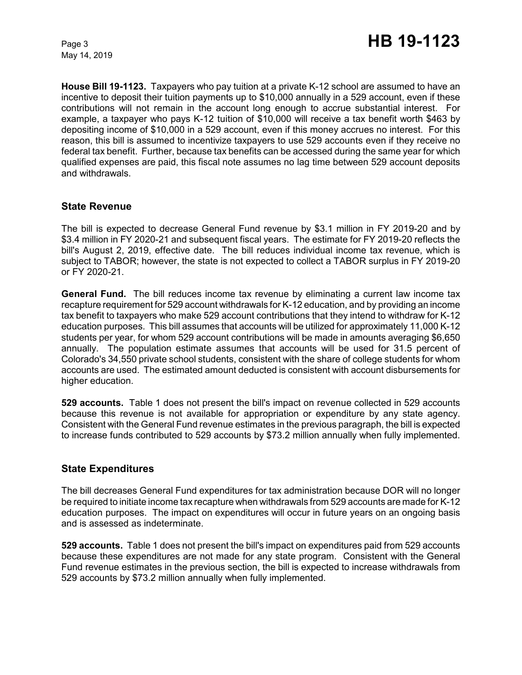May 14, 2019

**House Bill 19-1123.** Taxpayers who pay tuition at a private K-12 school are assumed to have an incentive to deposit their tuition payments up to \$10,000 annually in a 529 account, even if these contributions will not remain in the account long enough to accrue substantial interest. For example, a taxpayer who pays K-12 tuition of \$10,000 will receive a tax benefit worth \$463 by depositing income of \$10,000 in a 529 account, even if this money accrues no interest. For this reason, this bill is assumed to incentivize taxpayers to use 529 accounts even if they receive no federal tax benefit. Further, because tax benefits can be accessed during the same year for which qualified expenses are paid, this fiscal note assumes no lag time between 529 account deposits and withdrawals.

#### **State Revenue**

The bill is expected to decrease General Fund revenue by \$3.1 million in FY 2019-20 and by \$3.4 million in FY 2020-21 and subsequent fiscal years. The estimate for FY 2019-20 reflects the bill's August 2, 2019, effective date. The bill reduces individual income tax revenue, which is subject to TABOR; however, the state is not expected to collect a TABOR surplus in FY 2019-20 or FY 2020-21.

**General Fund.** The bill reduces income tax revenue by eliminating a current law income tax recapture requirement for 529 account withdrawals for K-12 education, and by providing an income tax benefit to taxpayers who make 529 account contributions that they intend to withdraw for K-12 education purposes. This bill assumes that accounts will be utilized for approximately 11,000 K-12 students per year, for whom 529 account contributions will be made in amounts averaging \$6,650 annually. The population estimate assumes that accounts will be used for 31.5 percent of Colorado's 34,550 private school students, consistent with the share of college students for whom accounts are used. The estimated amount deducted is consistent with account disbursements for higher education.

**529 accounts.** Table 1 does not present the bill's impact on revenue collected in 529 accounts because this revenue is not available for appropriation or expenditure by any state agency. Consistent with the General Fund revenue estimates in the previous paragraph, the bill is expected to increase funds contributed to 529 accounts by \$73.2 million annually when fully implemented.

#### **State Expenditures**

The bill decreases General Fund expenditures for tax administration because DOR will no longer be required to initiate income tax recapture when withdrawals from 529 accounts are made for K-12 education purposes. The impact on expenditures will occur in future years on an ongoing basis and is assessed as indeterminate.

**529 accounts.** Table 1 does not present the bill's impact on expenditures paid from 529 accounts because these expenditures are not made for any state program. Consistent with the General Fund revenue estimates in the previous section, the bill is expected to increase withdrawals from 529 accounts by \$73.2 million annually when fully implemented.